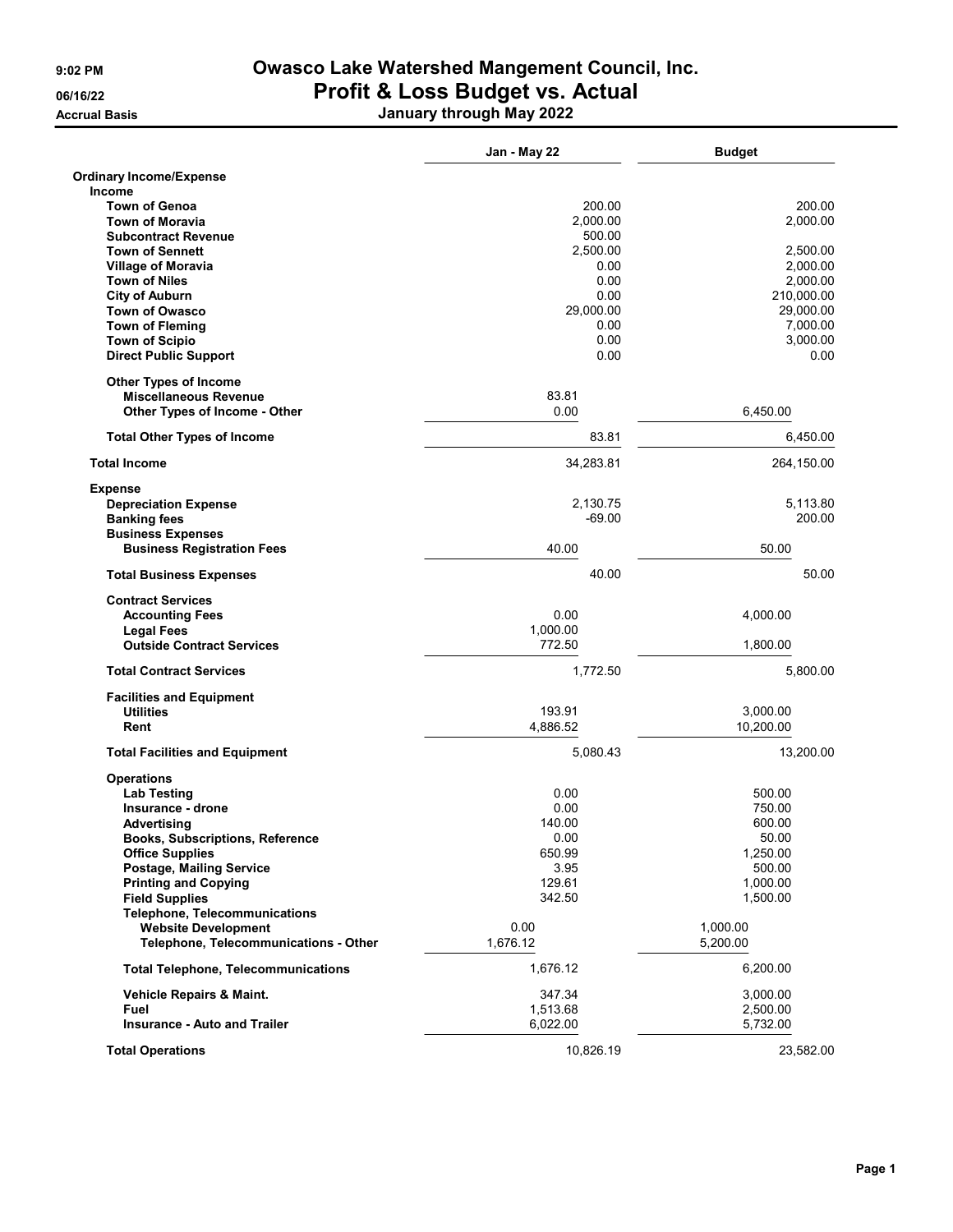Accrual Basis January through May 2022

|                                                                  | Jan - May 22       | <b>Budget</b>     |
|------------------------------------------------------------------|--------------------|-------------------|
| <b>Ordinary Income/Expense</b>                                   |                    |                   |
| <b>Income</b>                                                    |                    | 200.00            |
| <b>Town of Genoa</b><br><b>Town of Moravia</b>                   | 200.00<br>2,000.00 | 2,000.00          |
| <b>Subcontract Revenue</b>                                       | 500.00             |                   |
| <b>Town of Sennett</b>                                           | 2,500.00           | 2,500.00          |
| <b>Village of Moravia</b>                                        | 0.00               | 2,000.00          |
| <b>Town of Niles</b>                                             | 0.00               | 2,000.00          |
| <b>City of Auburn</b>                                            | 0.00               | 210,000.00        |
| <b>Town of Owasco</b>                                            | 29,000.00          | 29,000.00         |
| <b>Town of Fleming</b>                                           | 0.00               | 7,000.00          |
| <b>Town of Scipio</b>                                            | 0.00               | 3,000.00          |
| <b>Direct Public Support</b>                                     | 0.00               | 0.00              |
| <b>Other Types of Income</b>                                     |                    |                   |
| <b>Miscellaneous Revenue</b>                                     | 83.81              |                   |
| Other Types of Income - Other                                    | 0.00               | 6,450.00          |
| <b>Total Other Types of Income</b>                               | 83.81              | 6,450.00          |
| <b>Total Income</b>                                              | 34,283.81          | 264,150.00        |
| <b>Expense</b>                                                   |                    |                   |
| <b>Depreciation Expense</b>                                      | 2,130.75           | 5,113.80          |
| <b>Banking fees</b>                                              | $-69.00$           | 200.00            |
| <b>Business Expenses</b><br><b>Business Registration Fees</b>    | 40.00              | 50.00             |
| <b>Total Business Expenses</b>                                   | 40.00              | 50.00             |
| <b>Contract Services</b>                                         |                    |                   |
| <b>Accounting Fees</b>                                           | 0.00               | 4,000.00          |
| <b>Legal Fees</b>                                                | 1,000.00           |                   |
| <b>Outside Contract Services</b>                                 | 772.50             | 1,800.00          |
| <b>Total Contract Services</b>                                   | 1,772.50           | 5,800.00          |
| <b>Facilities and Equipment</b>                                  |                    |                   |
| <b>Utilities</b>                                                 | 193.91             | 3,000.00          |
| Rent                                                             | 4,886.52           | 10,200.00         |
| <b>Total Facilities and Equipment</b>                            | 5,080.43           | 13,200.00         |
| <b>Operations</b>                                                |                    |                   |
| <b>Lab Testing</b>                                               | 0.00               | 500.00            |
| Insurance - drone                                                | 0.00               | 750.00            |
| Advertising                                                      | 140.00             | 600.00            |
| <b>Books, Subscriptions, Reference</b><br><b>Office Supplies</b> | 0.00<br>650.99     | 50.00<br>1,250.00 |
| Postage, Mailing Service                                         | 3.95               | 500.00            |
| <b>Printing and Copying</b>                                      | 129.61             | 1,000.00          |
| <b>Field Supplies</b>                                            | 342.50             | 1,500.00          |
| <b>Telephone, Telecommunications</b>                             |                    |                   |
| <b>Website Development</b>                                       | 0.00               | 1,000.00          |
| Telephone, Telecommunications - Other                            | 1,676.12           | 5,200.00          |
| <b>Total Telephone, Telecommunications</b>                       | 1,676.12           | 6,200.00          |
| Vehicle Repairs & Maint.                                         | 347.34             | 3,000.00          |
| Fuel                                                             | 1,513.68           | 2,500.00          |
| <b>Insurance - Auto and Trailer</b>                              | 6,022.00           | 5,732.00          |
| <b>Total Operations</b>                                          | 10,826.19          | 23,582.00         |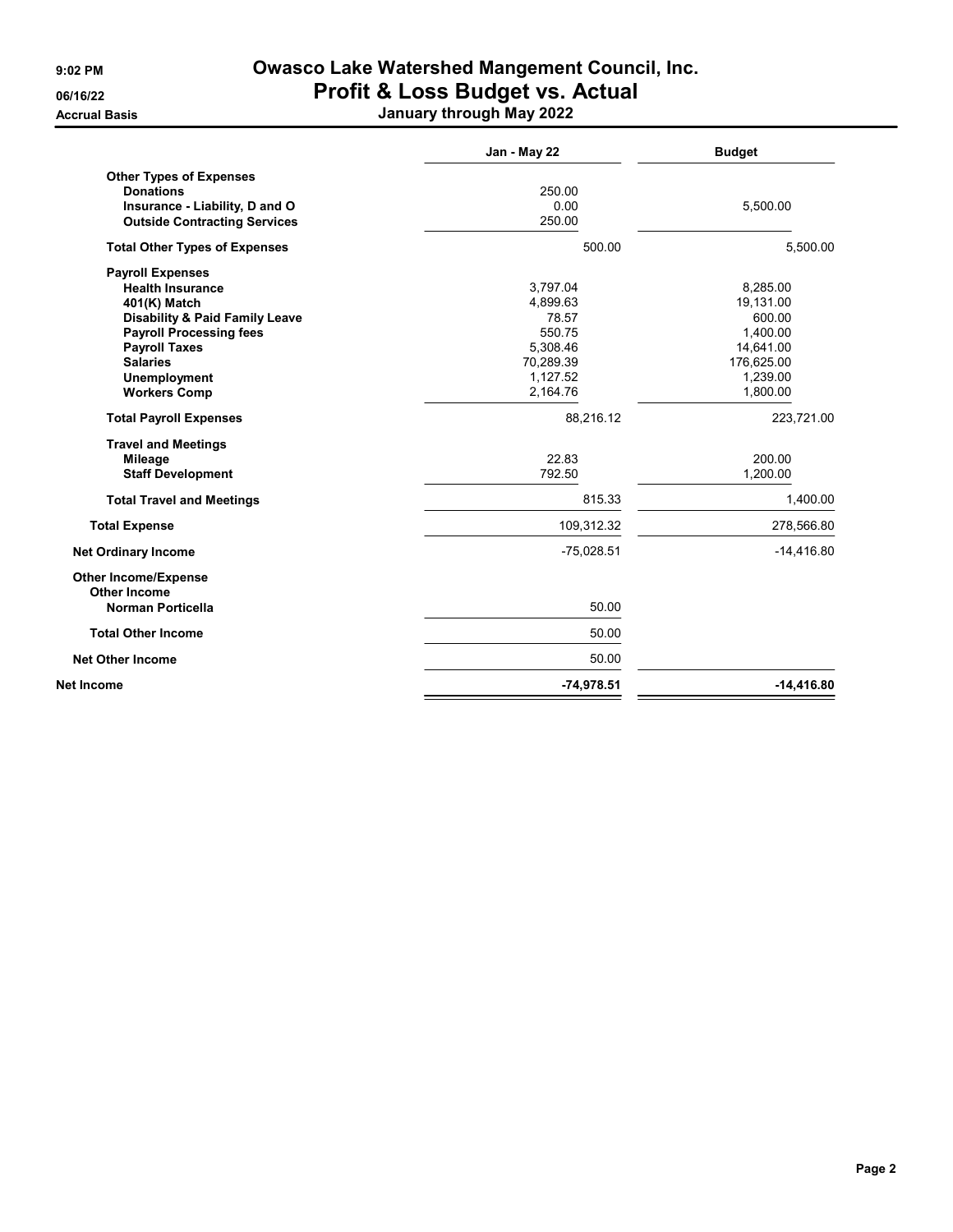Accrual Basis January through May 2022

|                                                    | Jan - May 22 | <b>Budget</b> |
|----------------------------------------------------|--------------|---------------|
| <b>Other Types of Expenses</b>                     |              |               |
| <b>Donations</b>                                   | 250.00       |               |
| Insurance - Liability, D and O                     | 0.00         | 5,500.00      |
| <b>Outside Contracting Services</b>                | 250.00       |               |
| <b>Total Other Types of Expenses</b>               | 500.00       | 5.500.00      |
| <b>Payroll Expenses</b>                            |              |               |
| <b>Health Insurance</b>                            | 3,797.04     | 8,285.00      |
| 401(K) Match                                       | 4,899.63     | 19,131.00     |
| <b>Disability &amp; Paid Family Leave</b>          | 78.57        | 600.00        |
| <b>Payroll Processing fees</b>                     | 550.75       | 1.400.00      |
| <b>Payroll Taxes</b>                               | 5,308.46     | 14,641.00     |
| <b>Salaries</b>                                    | 70,289.39    | 176,625.00    |
| <b>Unemployment</b>                                | 1,127.52     | 1,239.00      |
| <b>Workers Comp</b>                                | 2,164.76     | 1,800.00      |
| <b>Total Payroll Expenses</b>                      | 88,216.12    | 223,721.00    |
| <b>Travel and Meetings</b>                         |              |               |
| <b>Mileage</b>                                     | 22.83        | 200.00        |
| <b>Staff Development</b>                           | 792.50       | 1,200.00      |
| <b>Total Travel and Meetings</b>                   | 815.33       | 1,400.00      |
| <b>Total Expense</b>                               | 109,312.32   | 278,566.80    |
| <b>Net Ordinary Income</b>                         | $-75,028.51$ | $-14,416.80$  |
| <b>Other Income/Expense</b><br><b>Other Income</b> |              |               |
| <b>Norman Porticella</b>                           | 50.00        |               |
| <b>Total Other Income</b>                          | 50.00        |               |
| <b>Net Other Income</b>                            | 50.00        |               |
| Net Income                                         | $-74,978.51$ | $-14,416.80$  |
|                                                    |              |               |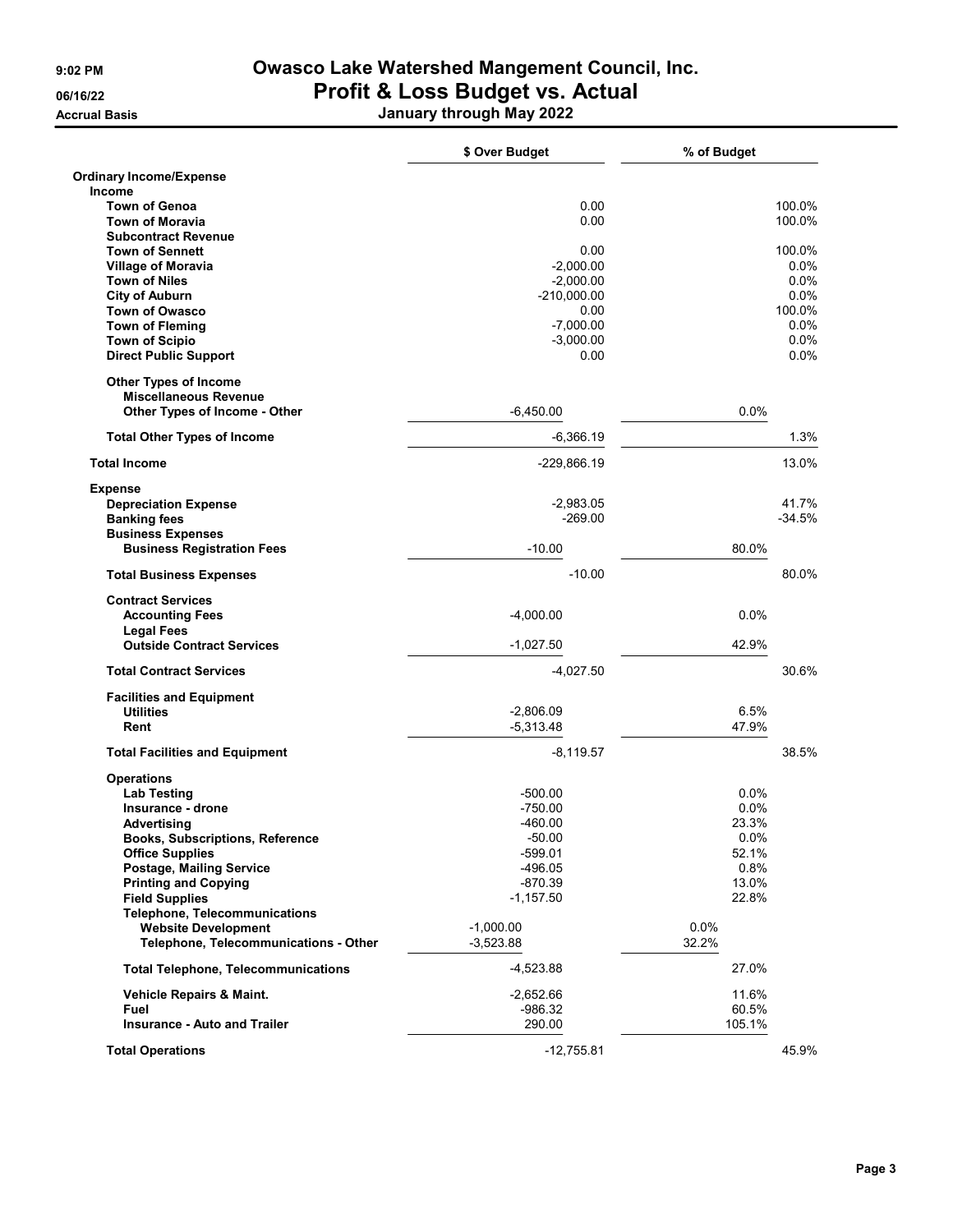Accrual Basis January through May 2022

|                                                           | \$ Over Budget       | % of Budget   |          |
|-----------------------------------------------------------|----------------------|---------------|----------|
| <b>Ordinary Income/Expense</b>                            |                      |               |          |
| Income                                                    |                      |               |          |
| <b>Town of Genoa</b>                                      | 0.00                 |               | 100.0%   |
| <b>Town of Moravia</b>                                    | 0.00                 |               | 100.0%   |
| <b>Subcontract Revenue</b><br><b>Town of Sennett</b>      | 0.00                 |               | 100.0%   |
| <b>Village of Moravia</b>                                 | $-2,000.00$          |               | $0.0\%$  |
| <b>Town of Niles</b>                                      | $-2,000.00$          |               | 0.0%     |
| <b>City of Auburn</b>                                     | $-210,000.00$        |               | $0.0\%$  |
| <b>Town of Owasco</b>                                     | 0.00                 |               | 100.0%   |
| <b>Town of Fleming</b>                                    | $-7,000.00$          |               | $0.0\%$  |
| <b>Town of Scipio</b>                                     | $-3,000.00$          |               | 0.0%     |
| <b>Direct Public Support</b>                              | 0.00                 |               | 0.0%     |
| <b>Other Types of Income</b>                              |                      |               |          |
| <b>Miscellaneous Revenue</b>                              |                      |               |          |
| Other Types of Income - Other                             | $-6,450.00$          | 0.0%          |          |
| <b>Total Other Types of Income</b>                        | $-6,366.19$          |               | 1.3%     |
| <b>Total Income</b>                                       | -229,866.19          |               | 13.0%    |
| <b>Expense</b>                                            |                      |               |          |
| <b>Depreciation Expense</b>                               | $-2,983.05$          |               | 41.7%    |
| <b>Banking fees</b>                                       | $-269.00$            |               | $-34.5%$ |
| <b>Business Expenses</b>                                  |                      |               |          |
| <b>Business Registration Fees</b>                         | $-10.00$             | 80.0%         |          |
| <b>Total Business Expenses</b>                            | $-10.00$             |               | 80.0%    |
| <b>Contract Services</b>                                  |                      |               |          |
| <b>Accounting Fees</b>                                    | $-4,000.00$          | 0.0%          |          |
| <b>Legal Fees</b>                                         |                      |               |          |
| <b>Outside Contract Services</b>                          | $-1,027.50$          | 42.9%         |          |
| <b>Total Contract Services</b>                            | $-4,027.50$          |               | 30.6%    |
| <b>Facilities and Equipment</b>                           |                      |               |          |
| <b>Utilities</b>                                          | $-2,806.09$          | 6.5%          |          |
| Rent                                                      | $-5,313.48$          | 47.9%         |          |
| <b>Total Facilities and Equipment</b>                     | $-8,119.57$          |               | 38.5%    |
| <b>Operations</b>                                         |                      |               |          |
| <b>Lab Testing</b>                                        | $-500.00$            | 0.0%          |          |
| Insurance - drone                                         | $-750.00$            | 0.0%          |          |
| Advertising                                               | -460.00              | 23.3%         |          |
| <b>Books, Subscriptions, Reference</b>                    | $-50.00$             | 0.0%<br>52.1% |          |
| <b>Office Supplies</b><br><b>Postage, Mailing Service</b> | -599.01<br>$-496.05$ | 0.8%          |          |
| <b>Printing and Copying</b>                               | $-870.39$            | 13.0%         |          |
| <b>Field Supplies</b>                                     | $-1,157.50$          | 22.8%         |          |
| <b>Telephone, Telecommunications</b>                      |                      |               |          |
| <b>Website Development</b>                                | $-1,000.00$          | $0.0\%$       |          |
| Telephone, Telecommunications - Other                     | $-3,523.88$          | 32.2%         |          |
| <b>Total Telephone, Telecommunications</b>                | $-4,523.88$          | 27.0%         |          |
| Vehicle Repairs & Maint.                                  | $-2,652.66$          | 11.6%         |          |
| Fuel                                                      | $-986.32$            | 60.5%         |          |
| <b>Insurance - Auto and Trailer</b>                       | 290.00               | 105.1%        |          |
| <b>Total Operations</b>                                   | $-12,755.81$         |               | 45.9%    |